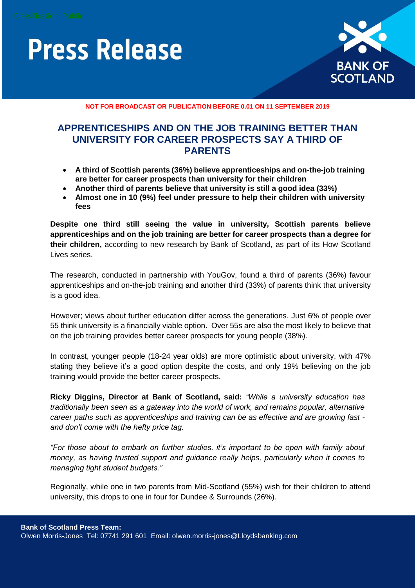## **Press Release**



**NOT FOR BROADCAST OR PUBLICATION BEFORE 0.01 ON 11 SEPTEMBER 2019**

### **APPRENTICESHIPS AND ON THE JOB TRAINING BETTER THAN UNIVERSITY FOR CAREER PROSPECTS SAY A THIRD OF PARENTS**

- **A third of Scottish parents (36%) believe apprenticeships and on-the-job training are better for career prospects than university for their children**
- **Another third of parents believe that university is still a good idea (33%)**
- **Almost one in 10 (9%) feel under pressure to help their children with university fees**

**Despite one third still seeing the value in university, Scottish parents believe apprenticeships and on the job training are better for career prospects than a degree for their children,** according to new research by Bank of Scotland, as part of its How Scotland Lives series.

The research, conducted in partnership with YouGov, found a third of parents (36%) favour apprenticeships and on-the-job training and another third (33%) of parents think that university is a good idea.

However; views about further education differ across the generations. Just 6% of people over 55 think university is a financially viable option. Over 55s are also the most likely to believe that on the job training provides better career prospects for young people (38%).

In contrast, younger people (18-24 year olds) are more optimistic about university, with 47% stating they believe it's a good option despite the costs, and only 19% believing on the job training would provide the better career prospects.

**Ricky Diggins, Director at Bank of Scotland, said:** *"While a university education has traditionally been seen as a gateway into the world of work, and remains popular, alternative career paths such as apprenticeships and training can be as effective and are growing fast and don't come with the hefty price tag.*

*"For those about to embark on further studies, it's important to be open with family about money, as having trusted support and guidance really helps, particularly when it comes to managing tight student budgets."* 

Regionally, while one in two parents from Mid-Scotland (55%) wish for their children to attend university, this drops to one in four for Dundee & Surrounds (26%).